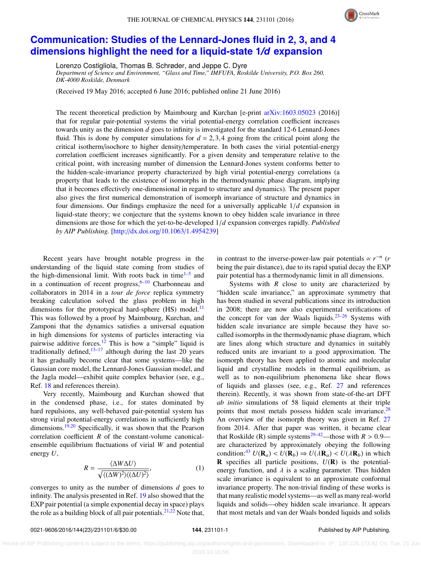

## **[Communication: Studies of the Lennard-Jones fluid in 2, 3, and 4](http://dx.doi.org/10.1063/1.4954239) [dimensions highlight the need for a liquid-state 1](http://dx.doi.org/10.1063/1.4954239)***/d* **expansion**

Lorenzo Costigliola, Thomas B. Schrøder, and Jeppe C. Dyre

*Department of Science and Environment, "Glass and Time," IMFUFA, Roskilde University, P.O. Box 260, DK-4000 Roskilde, Denmark*

(Received 19 May 2016; accepted 6 June 2016; published online 21 June 2016)

The recent theoretical prediction by Maimbourg and Kurchan [e-print [arXiv:1603.05023](http://arxiv.org/abs/1603.05023) (2016)] that for regular pair-potential systems the virial potential-energy correlation coefficient increases towards unity as the dimension *d* goes to infinity is investigated for the standard 12-6 Lennard-Jones fluid. This is done by computer simulations for  $d = 2,3,4$  going from the critical point along the critical isotherm/isochore to higher density/temperature. In both cases the virial potential-energy correlation coefficient increases significantly. For a given density and temperature relative to the critical point, with increasing number of dimension the Lennard-Jones system conforms better to the hidden-scale-invariance property characterized by high virial potential-energy correlations (a property that leads to the existence of isomorphs in the thermodynamic phase diagram, implying that it becomes effectively one-dimensional in regard to structure and dynamics). The present paper also gives the first numerical demonstration of isomorph invariance of structure and dynamics in four dimensions. Our findings emphasize the need for a universally applicable 1/*<sup>d</sup>* expansion in liquid-state theory; we conjecture that the systems known to obey hidden scale invariance in three dimensions are those for which the yet-to-be-developed 1/*<sup>d</sup>* expansion converges rapidly. *Published by AIP Publishing.* [\[http:](http://dx.doi.org/10.1063/1.4954239)//[dx.doi.org](http://dx.doi.org/10.1063/1.4954239)/[10.1063](http://dx.doi.org/10.1063/1.4954239)/[1.4954239\]](http://dx.doi.org/10.1063/1.4954239)

Recent years have brought notable progress in the understanding of the liquid state coming from studies of the high-dimensional limit. With roots back in time<sup>[1](#page-4-0)-5</sup> and in a continuation of recent progress,  $6-10$  $6-10$  Charbonneau and collaborators in 2014 in a *tour de force* replica symmetry breaking calculation solved the glass problem in high dimensions for the prototypical hard-sphere  $(HS)$  model.<sup>[11](#page-4-4)</sup> This was followed by a proof by Maimbourg, Kurchan, and Zamponi that the dynamics satisfies a universal equation in high dimensions for systems of particles interacting via pairwise additive forces.<sup>[12](#page-4-5)</sup> This is how a "simple" liquid is traditionally defined, $13-17$  $13-17$  although during the last 20 years it has gradually become clear that some systems—like the Gaussian core model, the Lennard-Jones Gaussian model, and the Jagla model—exhibit quite complex behavior (see, e.g., Ref. [18](#page-4-8) and references therein).

Very recently, Maimbourg and Kurchan showed that in the condensed phase, i.e., for states dominated by hard repulsions, any well-behaved pair-potential system has strong virial potential-energy correlations in sufficiently high dimensions.<sup>[19,](#page-4-9)[20](#page-4-10)</sup> Specifically, it was shown that the Pearson correlation coefficient *R* of the constant-volume canonicalensemble equilibrium fluctuations of virial *W* and potential energy *U*,

<span id="page-0-0"></span>
$$
R = \frac{\langle \Delta W \Delta U \rangle}{\sqrt{\langle (\Delta W)^2 \rangle \langle (\Delta U)^2 \rangle}},\tag{1}
$$

converges to unity as the number of dimensions *d* goes to infinity. The analysis presented in Ref. [19](#page-4-9) also showed that the EXP pair potential (a simple exponential decay in space) plays the role as a building block of all pair potentials.  $2^{1,22}$  $2^{1,22}$  $2^{1,22}$  Note that,

in contrast to the inverse-power-law pair potentials  $\propto r^{-n}$  (*r* being the pair distance), due to its rapid spatial decay the EXP pair potential has a thermodynamic limit in all dimensions.

Systems with *R* close to unity are characterized by "hidden scale invariance," an approximate symmetry that has been studied in several publications since its introduction in 2008; there are now also experimental verifications of the concept for van der Waals liquids.<sup>[23](#page-4-13)-26</sup> Systems with hidden scale invariance are simple because they have socalled isomorphs in the thermodynamic phase diagram, which are lines along which structure and dynamics in suitably reduced units are invariant to a good approximation. The isomorph theory has been applied to atomic and molecular liquid and crystalline models in thermal equilibrium, as well as to non-equilibrium phenomena like shear flows of liquids and glasses (see, e.g., Ref. [27](#page-4-15) and references therein). Recently, it was shown from state-of-the-art DFT *ab initio* simulations of 58 liquid elements at their triple points that most metals possess hidden scale invariance.<sup>[28](#page-4-16)</sup> An overview of the isomorph theory was given in Ref. [27](#page-4-15) from 2014. After that paper was written, it became clear that Roskilde (R) simple systems<sup>[29](#page-4-17)[–42](#page-4-18)</sup>—those with  $R > 0.9$  are characterized by approximately obeying the following condition:<sup>[43](#page-4-19)</sup>  $U(\mathbf{R}_a) < U(\mathbf{R}_b) \Rightarrow U(\lambda \mathbf{R}_a) < U(\lambda \mathbf{R}_b)$  in which **R** specifies all particle positions,  $U(\mathbf{R})$  is the potentialenergy function, and  $\lambda$  is a scaling parameter. Thus hidden scale invariance is equivalent to an approximate conformal invariance property. The non-trivial finding of these works is that many realistic model systems—as well as many real-world liquids and solids—obey hidden scale invariance. It appears that most metals and van der Waals bonded liquids and solids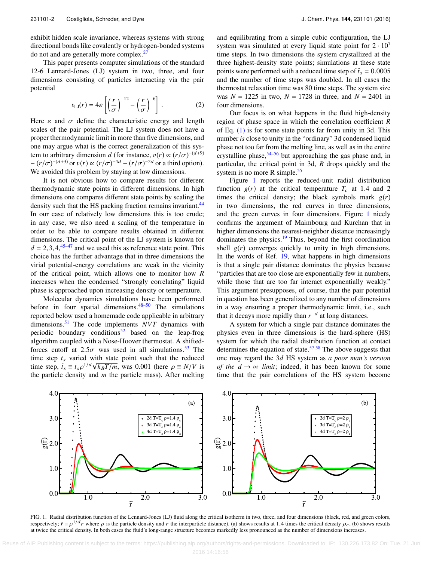exhibit hidden scale invariance, whereas systems with strong directional bonds like covalently or hydrogen-bonded systems do not and are generally more complex.[27](#page-4-15)

This paper presents computer simulations of the standard 12-6 Lennard-Jones (LJ) system in two, three, and four dimensions consisting of particles interacting via the pair potential  $\overline{a}$  $\overline{a}$ 

$$
v_{\text{LJ}}(r) = 4\varepsilon \left[ \left( \frac{r}{\sigma} \right)^{-12} - \left( \frac{r}{\sigma} \right)^{-6} \right].
$$
 (2)

Here  $\varepsilon$  and  $\sigma$  define the characteristic energy and length scales of the pair potential. The LL system does not have a scales of the pair potential. The LJ system does not have a proper thermodynamic limit in more than five dimensions, and one may argue what is the correct generalization of this system to arbitrary dimension *d* (for instance,  $v(r) \propto (r/\sigma)^{-(d+9)}$ <br>–  $\frac{(r/\sigma)^{-(d+3)}}{2}$  or  $v(r) \propto (r/\sigma)^{-4d} - (r/\sigma)^{-2d}$  or a third option)  $-(r/\sigma)^{-(d+3)}$  or  $v(r) \propto (r/\sigma)^{-4d} - (r/\sigma)^{-2d}$  or a third option).<br>We avoided this problem by staving at low dimensions We avoided this problem by staying at low dimensions.

It is not obvious how to compare results for different thermodynamic state points in different dimensions. In high dimensions one compares different state points by scaling the density such that the HS packing fraction remains invariant.<sup>[44](#page-4-20)</sup> In our case of relatively low dimensions this is too crude; in any case, we also need a scaling of the temperature in order to be able to compare results obtained in different dimensions. The critical point of the LJ system is known for  $d = 2,3,4,45-47$  $d = 2,3,4,45-47$  and we used this as reference state point. This choice has the further advantage that in three dimensions the virial potential-energy correlations are weak in the vicinity of the critical point, which allows one to monitor how *R* increases when the condensed "strongly correlating" liquid phase is approached upon increasing density or temperature.

Molecular dynamics simulations have been performed before in four spatial dimensions. $48-50$  $48-50$  The simulations reported below used a homemade code applicable in arbitrary dimensions.[51](#page-4-25) The code implements *NVT* dynamics with periodic boundary conditions<sup>[52](#page-4-26)</sup> based on the leap-frog algorithm coupled with a Nose-Hoover thermostat. A shiftedforces cutoff at 2.5 $\sigma$  was used in all simulations.<sup>[53](#page-4-27)</sup> The time step  $t_s$  varied with state point such that the reduced time step,  $\tilde{t}_s \equiv t_s \rho^{1/d} \sqrt{k_B T/m}$ , was 0.001 (here  $\rho \equiv N/V$  is<br>the particle density and *m* the particle mass). After melting the particle density and *m* the particle mass). After melting

and equilibrating from a simple cubic configuration, the LJ system was simulated at every liquid state point for  $2 \cdot 10^7$ time steps. In two dimensions the system crystallized at the three highest-density state points; simulations at these state points were performed with a reduced time step of  $\tilde{t}_s = 0.0005$ <br>and the number of time steps was doubled. In all cases the and the number of time steps was doubled. In all cases the thermostat relaxation time was 80 time steps. The system size was  $N = 1225$  in two,  $N = 1728$  in three, and  $N = 2401$  in four dimensions.

Our focus is on what happens in the fluid high-density region of phase space in which the correlation coefficient *R* of Eq. [\(1\)](#page-0-0) is for some state points far from unity in 3d. This number *is* close to unity in the "ordinary" 3d condensed liquid phase not too far from the melting line, as well as in the entire crystalline phase,  $54-56$  $54-56$  but approaching the gas phase and, in particular, the critical point in 3d, *R* drops quickly and the system is no more R simple.<sup>[55](#page-5-1)</sup>

Figure [1](#page-1-0) reports the reduced-unit radial distribution function  $g(r)$  at the critical temperature  $T_c$  at 1.4 and 2 times the critical density; the black symbols mark  $g(r)$ in two dimensions, the red curves in three dimensions, and the green curves in four dimensions. Figure [1](#page-1-0) nicely confirms the argument of Maimbourg and Kurchan that in higher dimensions the nearest-neighbor distance increasingly dominates the physics.<sup>[19](#page-4-9)</sup> Thus, beyond the first coordination shell  $g(r)$  converges quickly to unity in high dimensions. In the words of Ref. [19,](#page-4-9) what happens in high dimensions is that a single pair distance dominates the physics because "particles that are too close are exponentially few in numbers, while those that are too far interact exponentially weakly." This argument presupposes, of course, that the pair potential in question has been generalized to any number of dimensions in a way ensuring a proper thermodynamic limit, i.e., such that it decays more rapidly than  $r^{-d}$  at long distances.

A system for which a single pair distance dominates the physics even in three dimensions is the hard-sphere (HS) system for which the radial distribution function at contact determines the equation of state.  $57,58$  $57,58$  The above suggests that one may regard the 3*d* HS system as *a poor man's version of the*  $d \rightarrow \infty$  *<i>limit*; indeed, it has been known for some time that the pair correlations of the HS system become

<span id="page-1-0"></span>

FIG. 1. Radial distribution function of the Lennard-Jones (LJ) fluid along the critical isotherm in two, three, and four dimensions (black, red, and green colors, respectively;  $\tilde{r} \equiv \rho^{1/d} r$  where  $\rho$  is the particle density and r the interparticle distance). (a) shows results at 1.4 times the critical density  $\rho_c$ , (b) shows results at twice the critical density In both case at twice the critical density. In both cases the fluid's long-range structure becomes markedly less pronounced as the number of dimensions increases.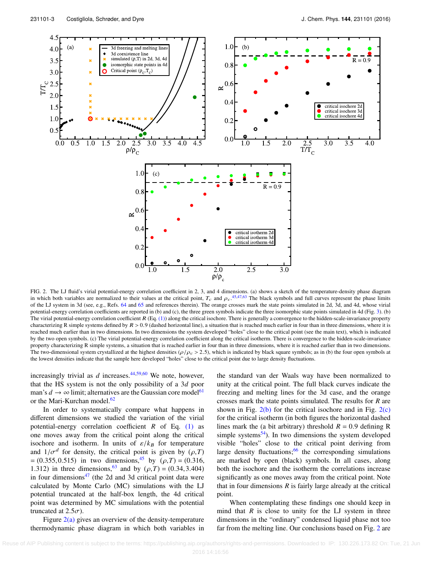<span id="page-2-0"></span>

FIG. 2. The LJ fluid's virial potential-energy correlation coefficient in 2, 3, and 4 dimensions. (a) shows a sketch of the temperature-density phase diagram in which both variables are normalized to their values at the critical point,  $T_c$  and  $\rho_c$ .<sup>[45](#page-4-21)[,47](#page-4-22)[,63](#page-5-4)</sup> The black symbols and full curves represent the phase limits of the LI system in 3d (see e.g. Refs. 64 and 65 and ref of the LJ system in 3d (see, e.g., Refs. [64](#page-5-5) and [65](#page-5-6) and references therein). The orange crosses mark the state points simulated in 2d, 3d, and 4d, whose virial potential-energy correlation coefficients are reported in (b) and (c), the three green symbols indicate the three isomorphic state points simulated in 4d (Fig. [3\)](#page-3-0). (b) The virial potential-energy correlation coefficient  $R$  (Eq. [\(1\)\)](#page-0-0) along the critical isochore. There is generally a convergence to the hidden-scale-invariance property characterizing R simple systems defined by  $R > 0.9$  (dashed horizontal line), a situation that is reached much earlier in four than in three dimensions, where it is reached much earlier than in two dimensions. In two dimensions the system developed "holes" close to the critical point (see the main text), which is indicated by the two open symbols. (c) The virial potential-energy correlation coefficient along the critical isotherm. There is convergence to the hidden-scale-invariance property characterizing R simple systems, a situation that is reached earlier in four than in three dimensions, where it is reached earlier than in two dimensions. The two-dimensional system crystallized at the highest densities  $(\rho/\rho_c > 2.5)$ , which is indicated by black square symbols; as in (b) the four open symbols at the lowest densities indicate that the sample here developed "holes" close to the critical point due to large density fluctuations.

increasingly trivial as  $d$  increases.<sup>[44,](#page-4-20)[59](#page-5-7)[,60](#page-5-8)</sup> We note, however, that the HS system is not the only possibility of a 3*d* poor man's  $d \to \infty$  limit; alternatives are the Gaussian core model<sup>[61](#page-5-9)</sup> or the Mari-Kurchan model.<sup>[62](#page-5-10)</sup>

In order to systematically compare what happens in different dimensions we studied the variation of the virial potential-energy correlation coefficient *R* of Eq. [\(1\)](#page-0-0) as one moves away from the critical point along the critical isochore and isotherm. In units of  $\varepsilon/k_B$  for temperature and  $1/\sigma^d$  for density, the critical point is given by  $(\rho, T)$ <br>= (0.355, 0.515) in two dimensions <sup>45</sup> by  $(\rho, T)$  = (0.316)  $= (0.355, 0.515)$  in two dimensions,<sup>[45](#page-4-21)</sup> by  $(\rho, T) = (0.316,$ 1.312) in three dimensions,<sup>[63](#page-5-4)</sup> and by  $(\rho, T) = (0.34, 3.404)$ in four dimensions $47$  (the 2d and 3d critical point data were calculated by Monte Carlo (MC) simulations with the LJ potential truncated at the half-box length, the 4d critical point was determined by MC simulations with the potential truncated at  $2.5\sigma$ ).

Figure  $2(a)$  gives an overview of the density-temperature thermodynamic phase diagram in which both variables in

the standard van der Waals way have been normalized to unity at the critical point. The full black curves indicate the freezing and melting lines for the 3d case, and the orange crosses mark the state points simulated. The results for *R* are shown in Fig.  $2(b)$  for the critical isochore and in Fig.  $2(c)$ for the critical isotherm (in both figures the horizontal dashed lines mark the (a bit arbitrary) threshold  $R = 0.9$  defining R simple systems $54$ ). In two dimensions the system developed visible "holes" close to the critical point deriving from large density fluctuations; $66$  the corresponding simulations are marked by open (black) symbols. In all cases, along both the isochore and the isotherm the correlations increase significantly as one moves away from the critical point. Note that in four dimensions  $R$  is fairly large already at the critical point.

When contemplating these findings one should keep in mind that  $R$  is close to unity for the LJ system in three dimensions in the "ordinary" condensed liquid phase not too far from the melting line. Our conclusions based on Fig. [2](#page-2-0) are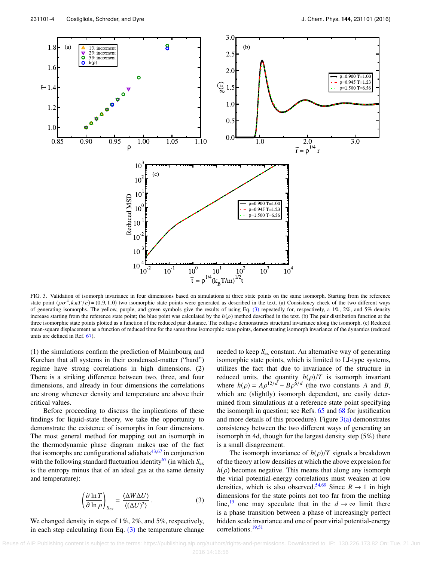<span id="page-3-0"></span>

FIG. 3. Validation of isomorph invariance in four dimensions based on simulations at three state points on the same isomorph. Starting from the reference state point  $(\rho \sigma^4, k_B T/\varepsilon) = (0.9, 1.0)$  two isomorphic state points were generated as described in the text. (a) Consistency check of the two different ways of generating isomorphs. The vellow purple, and green symbols g of generating isomorphs. The yellow, purple, and green symbols give the results of using Eq.  $(3)$  repeatedly for, respectively, a  $1\%$ ,  $2\%$ , and  $5\%$  density increase starting from the reference state point; the blue point was calculated by the  $h(\rho)$  method described in the text. (b) The pair distribution function at the three isomorphic state points plotted as a function of the reduced pair distance. The collapse demonstrates structural invariance along the isomorph. (c) Reduced mean-square displacement as a function of reduced time for the same three isomorphic state points, demonstrating isomorph invariance of the dynamics (reduced units are defined in Ref. [67\)](#page-5-12).

(1) the simulations confirm the prediction of Maimbourg and Kurchan that all systems in their condensed-matter ("hard") regime have strong correlations in high dimensions. (2) There is a striking difference between two, three, and four dimensions, and already in four dimensions the correlations are strong whenever density and temperature are above their critical values.

Before proceeding to discuss the implications of these findings for liquid-state theory, we take the opportunity to demonstrate the existence of isomorphs in four dimensions. The most general method for mapping out an isomorph in the thermodynamic phase diagram makes use of the fact that isomorphs are configurational adiabats $43,67$  $43,67$  in conjunction with the following standard fluctuation identity<sup>[67](#page-5-12)</sup> (in which  $S_{\text{ex}}$ ) is the entropy minus that of an ideal gas at the same density and temperature):

$$
\left(\frac{\partial \ln T}{\partial \ln \rho}\right)_{S_{\text{ex}}} = \frac{\langle \Delta W \Delta U \rangle}{\langle (\Delta U)^2 \rangle}.
$$
 (3)

We changed density in steps of  $1\%, 2\%,$  and  $5\%$ , respectively, in each step calculating from Eq.  $(3)$  the temperature change

needed to keep *S*ex constant. An alternative way of generating isomorphic state points, which is limited to LJ-type systems, utilizes the fact that due to invariance of the structure in reduced units, the quantity  $h(\rho)/T$  is isomorph invariant where  $h(\rho) = A\rho^{12/d} - B\rho^{6/d}$  (the two constants *A* and *B*, which are (slightly) isomorph dependent are easily deterwhich are (slightly) isomorph dependent, are easily determined from simulations at a reference state point specifying the isomorph in question; see Refs.  $65$  and  $68$  for justification and more details of this procedure). Figure  $3(a)$  demonstrates consistency between the two different ways of generating an isomorph in 4d, though for the largest density step (5%) there is a small disagreement.

<span id="page-3-1"></span>The isomorph invariance of  $h(\rho)/T$  signals a breakdown of the theory at low densities at which the above expression for  $h(\rho)$  becomes negative. This means that along any isomorph the virial potential-energy correlations must weaken at low densities, which is also observed.<sup>[54,](#page-4-28)[69](#page-5-14)</sup> Since  $R \rightarrow 1$  in high dimensions for the state points not too far from the melting line,<sup>[19](#page-4-9)</sup> one may speculate that in the  $d \rightarrow \infty$  limit there is a phase transition between a phase of increasingly perfect hidden scale invariance and one of poor virial potential-energy correlations.[19](#page-4-9)[,51](#page-4-25)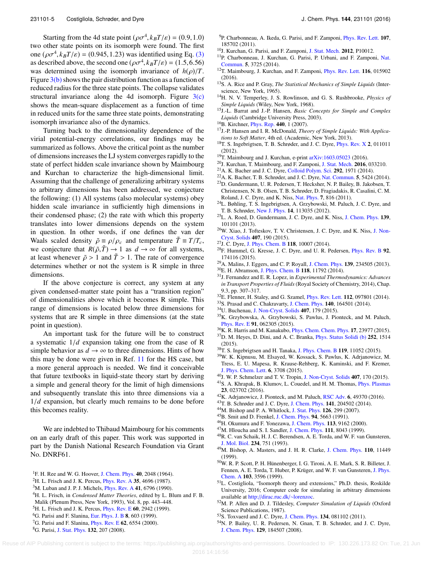Starting from the 4d state point  $(\rho \sigma^4, k_B T/\varepsilon) = (0.9, 1.0)$ <br>other state points on its isomorph were found. The first two other state points on its isomorph were found. The first one  $(\rho \sigma^4, k_B T/\varepsilon) = (0.945, 1.23)$  was identified using Eq. [\(3\)](#page-3-1)<br>as described above, the second one  $(\rho \sigma^4, k_B T/\varepsilon) = (1.5, 6, 56)$ as described above, the second one  $(\rho \sigma^4, k_B T/\varepsilon) = (1.5, 6.56)$ <br>was determined using the isomorph invariance of  $h(\rho)/T$ was determined using the isomorph invariance of  $h(\rho)/T$ . Figure  $3(b)$  shows the pair distribution function as a function of reduced radius for the three state points. The collapse validates structural invariance along the 4d isomorph. Figure  $3(c)$ shows the mean-square displacement as a function of time in reduced units for the same three state points, demonstrating isomorph invariance also of the dynamics.

Turning back to the dimensionality dependence of the virial potential-energy correlations, our findings may be summarized as follows. Above the critical point as the number of dimensions increases the LJ system converges rapidly to the state of perfect hidden scale invariance shown by Maimbourg and Kurchan to characterize the high-dimensional limit. Assuming that the challenge of generalizing arbitrary systems to arbitrary dimensions has been addressed, we conjecture the following: (1) All systems (also molecular systems) obey hidden scale invariance in sufficiently high dimensions in their condensed phase; (2) the rate with which this property translates into lower dimensions depends on the system in question. In other words, if one defines the van der Waals scaled density  $\tilde{\rho} \equiv \rho/\rho_c$  and temperature  $\tilde{T} \equiv T/T_c$ , we conjecture that  $R(\tilde{\rho}, \tilde{T}) \to 1$  as  $d \to \infty$  for all systems, at least whenever  $\tilde{\rho} > 1$  and  $\tilde{T} > 1$ . The rate of convergence determines whether or not the system is R simple in three dimensions.

If the above conjecture is correct, any system at any given condensed-matter state point has a "transition region" of dimensionalities above which it becomes R simple. This range of dimensions is located below three dimensions for systems that are R simple in three dimensions (at the state point in question).

An important task for the future will be to construct a systematic 1/*<sup>d</sup>* expansion taking one from the case of R simple behavior as  $d \to \infty$  to three dimensions. Hints of how this may be done were given in Ref. [11](#page-4-4) for the HS case, but a more general approach is needed. We find it conceivable that future textbooks in liquid-state theory start by deriving a simple and general theory for the limit of high dimensions and subsequently translate this into three dimensions via a <sup>1</sup>/*<sup>d</sup>* expansion, but clearly much remains to be done before this becomes reality.

<span id="page-4-23"></span><span id="page-4-22"></span><span id="page-4-21"></span><span id="page-4-20"></span><span id="page-4-19"></span><span id="page-4-18"></span>We are indebted to Thibaud Maimbourg for his comments on an early draft of this paper. This work was supported in part by the Danish National Research Foundation via Grant No. DNRF61.

<sup>7</sup>G. Parisi and F. Slanina, *[Phys. Rev. E](http://dx.doi.org/10.1103/PhysRevE.62.6554)* 62, 6554 (2000).

- <sup>9</sup>P. Charbonneau, A. Ikeda, G. Parisi, and F. Zamponi, [Phys. Rev. Lett.](http://dx.doi.org/10.1103/PhysRevLett.107.185702) 107, 185702 (2011).
- <span id="page-4-3"></span><sup>10</sup>J. Kurchan, G. Parisi, and F. Zamponi, [J. Stat. Mech.](http://dx.doi.org/10.1088/1742-5468/2012/10/P10012) 2012, P10012.
- <span id="page-4-4"></span><sup>11</sup>P. Charbonneau, J. Kurchan, G. Parisi, P. Urbani, and F. Zamponi, [Nat.](http://dx.doi.org/10.1038/ncomms4725) [Commun.](http://dx.doi.org/10.1038/ncomms4725) 5, 3725 (2014).
- <span id="page-4-5"></span><sup>12</sup>T. Maimbourg, J. Kurchan, and F. Zamponi, *[Phys. Rev. Lett.](http://dx.doi.org/10.1103/PhysRevLett.116.015902)* **116**, 015902 (2016).
- <span id="page-4-6"></span><sup>13</sup>S. A. Rice and P. Gray, *The Statistical Mechanics of Simple Liquids* (Interscience, New York, 1965).
- <sup>14</sup>H. N. V. Temperley, J. S. Rowlinson, and G. S. Rushbrooke, *Physics of Simple Liquids* (Wiley, New York, 1968).
- <sup>15</sup>J.-L. Barrat and J.-P. Hansen, *Basic Concepts for Simple and Complex Liquids* (Cambridge University Press, 2003).
- <sup>16</sup>B. Kirchner, *[Phys. Rep.](http://dx.doi.org/10.1016/j.physrep.2006.11.005)* 440, 1 (2007).
- <span id="page-4-7"></span><sup>17</sup>J.-P. Hansen and I. R. McDonald, *Theory of Simple Liquids: With Applications to Soft Matter*, 4th ed. (Academic, New York, 2013).
- <span id="page-4-8"></span><sup>18</sup>T. S. Ingebrigtsen, T. B. Schrøder, and J. C. Dyre, [Phys. Rev. X](http://dx.doi.org/10.1103/physrevx.2.011011) 2, 011011 (2012).
- <span id="page-4-10"></span><span id="page-4-9"></span><sup>19</sup>T. Maimbourg and J. Kurchan, e-print [arXiv:1603.05023](http://arxiv.org/abs/1603.05023) (2016).
- <span id="page-4-17"></span><span id="page-4-16"></span><span id="page-4-15"></span><span id="page-4-14"></span><span id="page-4-13"></span><span id="page-4-12"></span><span id="page-4-11"></span><sup>20</sup>J. Kurchan, T. Maimbourg, and F. Zamponi, [J. Stat. Mech.](http://dx.doi.org/10.1088/1742-5468/2016/03/033210) 2016, 033210.
	- <sup>21</sup>A. K. Bacher and J. C. Dyre, [Colloid Polym. Sci.](http://dx.doi.org/10.1007/s00396-014-3290-0) 292, 1971 (2014).
	- <sup>22</sup>A. K. Bacher, T. B. Schrøder, and J. C. Dyre, [Nat. Commun.](http://dx.doi.org/10.1038/ncomms6424) 5, 5424 (2014).
	- <sup>23</sup>D. Gundermann, U. R. Pedersen, T. Hecksher, N. P. Bailey, B. Jakobsen, T. Christensen, N. B. Olsen, T. B. Schrøder, D. Fragiadakis, R. Casalini, C. M. Roland, J. C. Dyre, and K. Niss, [Nat. Phys.](http://dx.doi.org/10.1038/nphys2031) 7, 816 (2011).
	- <sup>24</sup>L. Bøhling, T. S. Ingebrigtsen, A. Grzybowski, M. Paluch, J. C. Dyre, and T. B. Schrøder, [New J. Phys.](http://dx.doi.org/10.1088/1367-2630/14/11/113035) 14, 113035 (2012).
	- <sup>25</sup>L. A. Roed, D. Gundermann, J. C. Dyre, and K. Niss, [J. Chem. Phys.](http://dx.doi.org/10.1063/1.4821163) 139, 101101 (2013).
	- <sup>26</sup>W. Xiao, J. Tofteskov, T. V. Christensen, J. C. Dyre, and K. Niss, [J. Non-](http://dx.doi.org/10.1016/j.jnoncrysol.2014.08.041)[Cryst. Solids](http://dx.doi.org/10.1016/j.jnoncrysol.2014.08.041) 407, 190 (2015).
	- <sup>27</sup>J. C. Dyre, [J. Phys. Chem. B](http://dx.doi.org/10.1021/jp501852b) 118, 10007 (2014).
	- <sup>28</sup>F. Hummel, G. Kresse, J. C. Dyre, and U. R. Pedersen, [Phys. Rev. B](http://dx.doi.org/10.1103/PhysRevB.92.174116) 92, 174116 (2015).
	- <sup>29</sup>A. Malins, J. Eggers, and C. P. Royall, [J. Chem. Phys.](http://dx.doi.org/10.1063/1.4830416) 139, 234505 (2013).
	- <sup>30</sup>E. H. Abramson, [J. Phys. Chem. B](http://dx.doi.org/10.1021/jp5079696) 118, 11792 (2014).
	- <sup>31</sup>J. Fernandez and E. R. Lopez, in *Experimental Thermodynamics: Advances in Transport Properties of Fluids*(Royal Society of Chemistry, 2014), Chap. 9.3, pp. 307–317.
	- <sup>32</sup>E. Flenner, H. Staley, and G. Szamel, *[Phys. Rev. Lett.](http://dx.doi.org/10.1103/PhysRevLett.112.097801)* **112**, 097801 (2014).
	- <sup>33</sup>S. Prasad and C. Chakravarty, [J. Chem. Phys.](http://dx.doi.org/10.1063/1.4870823) 140, 164501 (2014).
	- <sup>34</sup>U. Buchenau, [J. Non-Cryst. Solids](http://dx.doi.org/10.1016/j.jnoncrysol.2014.08.025) 407, 179 (2015).
	- <sup>35</sup>K. Grzybowska, A. Grzybowski, S. Pawlus, J. Pionteck, and M. Paluch, [Phys. Rev. E](http://dx.doi.org/10.1103/PhysRevE.91.062305) 91, 062305 (2015).
	- <sup>36</sup>K. R. Harris and M. Kanakubo, [Phys. Chem. Chem. Phys.](http://dx.doi.org/10.1039/c5cp04277a) 17, 23977 (2015).
	- <sup>37</sup>D. M. Heyes, D. Dini, and A. C. Branka, [Phys. Status Solidi \(b\)](http://dx.doi.org/10.1002/pssb.201451695) 252, 1514 (2015).
	- <sup>38</sup>T. S. Ingebrigtsen and H. Tanaka, [J. Phys. Chem. B](http://dx.doi.org/10.1021/acs.jpcb.5b02329) 119, 11052 (2015).
	- <sup>39</sup>W. K. Kipnusu, M. Elsayed, W. Kossack, S. Pawlus, K. Adrjanowicz, M. Tress, E. U. Mapesa, R. Krause-Rehberg, K. Kaminski, and F. Kremer, [J. Phys. Chem. Lett.](http://dx.doi.org/10.1021/acs.jpclett.5b01533) 6, 3708 (2015).
	- <sup>40</sup>J. W. P. Schmelzer and T. V. Tropin, [J. Non-Cryst. Solids](http://dx.doi.org/10.1016/j.jnoncrysol.2014.07.049) 407, 170 (2015).
	- <sup>41</sup>S. A. Khrapak, B. Klumov, L. Couedel, and H. M. Thomas, [Phys. Plasmas](http://dx.doi.org/10.1063/1.4942169) 23, 023702 (2016).
	- <sup>42</sup>K. Adrjanowicz, J. Pionteck, and M. Paluch, [RSC Adv.](http://dx.doi.org/10.1039/C6RA08406K) 6, 49370 (2016).
	- <sup>43</sup>T. B. Schrøder and J. C. Dyre, [J. Chem. Phys.](http://dx.doi.org/10.1063/1.4901215) 141, 204502 (2014).
	- <sup>44</sup>M. Bishop and P. A. Whitlock, [J. Stat. Phys.](http://dx.doi.org/10.1007/s10955-006-9266-9) 126, 299 (2007).
	- <sup>45</sup>B. Smit and D. Frenkel, [J. Chem. Phys.](http://dx.doi.org/10.1063/1.460477) 94, 5663 (1991).
	- <sup>46</sup>H. Okumura and F. Yonezawa, [J. Chem. Phys.](http://dx.doi.org/10.1063/1.1320828) 113, 9162 (2000).
	- <sup>47</sup>M. Hloucha and S. I. Sandler, [J. Chem. Phys.](http://dx.doi.org/10.1063/1.480138) 111, 8043 (1999).
	- <sup>48</sup>R. C. van Schaik, H. J. C. Berendsen, A. E. Torda, and W. F. van Gunsteren, [J. Mol. Biol.](http://dx.doi.org/10.1006/jmbi.1993.1624) 234, 751 (1993).
	- <sup>49</sup>M. Bishop, A. Masters, and J. H. R. Clarke, [J. Chem. Phys.](http://dx.doi.org/10.1063/1.479086) 110, 11449 (1999).
	- <sup>50</sup>W. R. P. Scott, P. H. Hünenberger, I. G. Tironi, A. E. Mark, S. R. Billeter, J. Fennen, A. E. Torda, T. Huber, P. Krüger, and W. F. van Gunsteren, [J. Phys.](http://dx.doi.org/10.1021/jp984217f) [Chem. A](http://dx.doi.org/10.1021/jp984217f) 103, 3596 (1999).
	- <sup>51</sup>L. Costigliola, "Isomorph theory and extensions," Ph.D. thesis, Roskilde University, 2016; Computer code for simulating in arbitrary dimensions available at [http:](http://dirac.ruc.dk/~lorenzoc)[//](http://dirac.ruc.dk/~lorenzoc)[dirac.ruc.dk](http://dirac.ruc.dk/~lorenzoc)[/](http://dirac.ruc.dk/~lorenzoc)[∼](http://dirac.ruc.dk/~lorenzoc)[lorenzoc.](http://dirac.ruc.dk/~lorenzoc)
	- <sup>52</sup>M. P. Allen and D. J. Tildesley, *Computer Simulation of Liquids* (Oxford Science Publications, 1987).
	- <sup>53</sup>S. Toxvaerd and J. C. Dyre, [J. Chem. Phys.](http://dx.doi.org/10.1063/1.3558787) 134, 081102 (2011).
	- <sup>54</sup>N. P. Bailey, U. R. Pedersen, N. Gnan, T. B. Schrøder, and J. C. Dyre, [J. Chem. Phys.](http://dx.doi.org/10.1063/1.2982247) 129, 184507 (2008).

<span id="page-4-25"></span><span id="page-4-24"></span><span id="page-4-0"></span><sup>&</sup>lt;sup>1</sup>F. H. Ree and W. G. Hoover, [J. Chem. Phys.](http://dx.doi.org/10.1063/1.1725456) 40, 2048 (1964).

<sup>&</sup>lt;sup>2</sup>H. L. Frisch and J. K. Percus, *[Phys. Rev. A](http://dx.doi.org/10.1103/PhysRevA.35.4696)* 35, 4696 (1987).

 $3<sup>3</sup>M$ . Luban and J. P. J. Michels, *[Phys. Rev. A](http://dx.doi.org/10.1103/PhysRevA.41.6796)* 41, 6796 (1990).

<sup>4</sup>H. L. Frisch, in *Condensed Matter Theories*, edited by L. Blum and F. B.

<span id="page-4-26"></span>Malik (Plenum Press, New York, 1993), Vol. 8, pp. 443–448.

<span id="page-4-2"></span><span id="page-4-1"></span><sup>&</sup>lt;sup>5</sup>H. L. Frisch and J. K. Percus, *[Phys. Rev. E](http://dx.doi.org/10.1103/PhysRevE.60.2942)* 60, 2942 (1999).  ${}^{6}$ G. Parisi and F. Slanina, [Eur. Phys. J. B](http://dx.doi.org/10.1007/s100510050727) 8, 603 (1999).

<span id="page-4-28"></span><span id="page-4-27"></span>